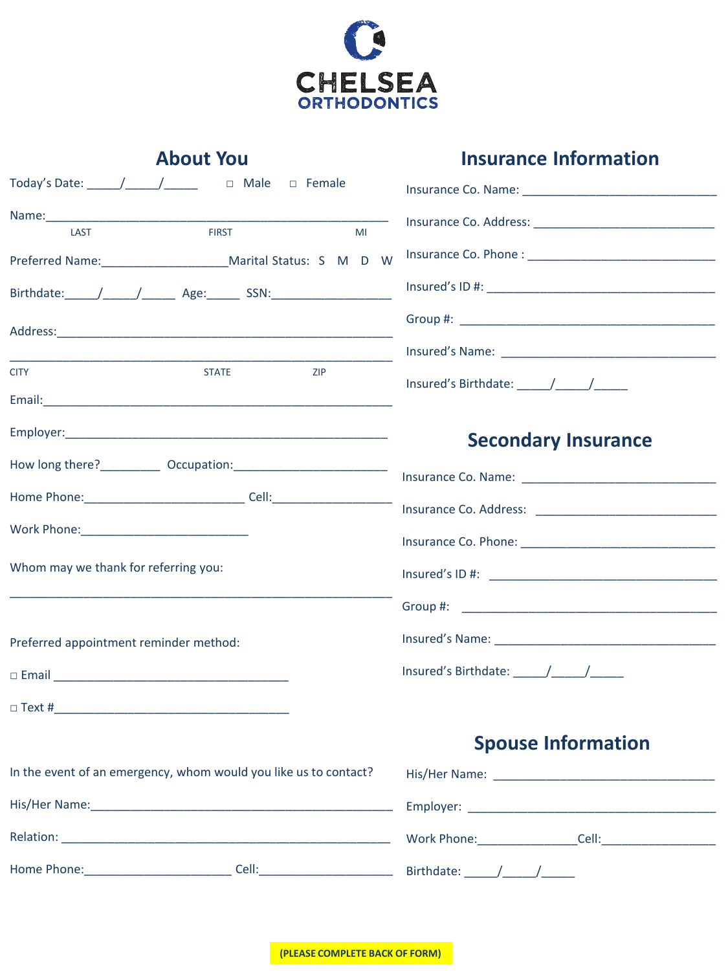

## About You **Insurance Information**

| Today's Date: ______/______/_______   □ Male   □ Female          |                            |  |
|------------------------------------------------------------------|----------------------------|--|
| <b>FIRST</b>                                                     |                            |  |
| LAST<br>MI                                                       |                            |  |
|                                                                  |                            |  |
|                                                                  |                            |  |
|                                                                  |                            |  |
|                                                                  |                            |  |
| <b>CITY</b><br><b>STATE</b><br><b>ZIP</b>                        |                            |  |
|                                                                  |                            |  |
|                                                                  | <b>Secondary Insurance</b> |  |
|                                                                  |                            |  |
|                                                                  |                            |  |
|                                                                  |                            |  |
| Work Phone: _______________________________                      |                            |  |
| Whom may we thank for referring you:                             |                            |  |
|                                                                  |                            |  |
| Preferred appointment reminder method:                           |                            |  |
|                                                                  |                            |  |
|                                                                  |                            |  |
|                                                                  | <b>Spouse Information</b>  |  |
| In the event of an emergency, whom would you like us to contact? |                            |  |
|                                                                  |                            |  |

Relation: \_\_\_\_\_\_\_\_\_\_\_\_\_\_\_\_\_\_\_\_\_\_\_\_\_\_\_\_\_\_\_\_\_\_\_\_\_\_\_\_\_\_\_\_\_\_\_\_\_ Work Phone:\_\_\_\_\_\_\_\_\_\_\_\_\_\_\_Cell:\_\_\_\_\_\_\_\_\_\_\_\_\_\_\_\_\_

Home Phone:\_\_\_\_\_\_\_\_\_\_\_\_\_\_\_\_\_\_\_\_\_\_ Cell:\_\_\_\_\_\_\_\_\_\_\_\_\_\_\_\_\_\_\_\_ Birthdate: \_\_\_\_\_/\_\_\_\_\_/\_\_\_\_\_